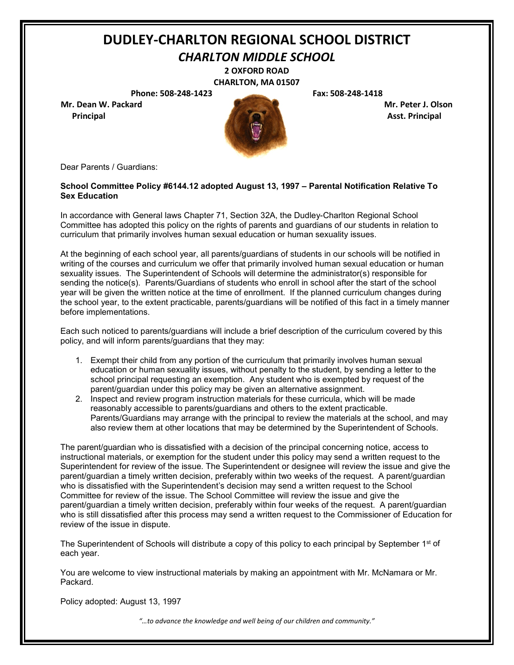*CHARLTON MIDDLE SCHOOL*

**2 OXFORD ROAD CHARLTON, MA 01507**

**Phone: 508-248-1423 Fax: 508-248-1418**

**Mr. Dean W. Packard Mr. Peter J. Olson** 



Dear Parents / Guardians:

#### **School Committee Policy #6144.12 adopted August 13, 1997 – Parental Notification Relative To Sex Education**

In accordance with General laws Chapter 71, Section 32A, the Dudley-Charlton Regional School Committee has adopted this policy on the rights of parents and guardians of our students in relation to curriculum that primarily involves human sexual education or human sexuality issues.

At the beginning of each school year, all parents/guardians of students in our schools will be notified in writing of the courses and curriculum we offer that primarily involved human sexual education or human sexuality issues. The Superintendent of Schools will determine the administrator(s) responsible for sending the notice(s). Parents/Guardians of students who enroll in school after the start of the school year will be given the written notice at the time of enrollment. If the planned curriculum changes during the school year, to the extent practicable, parents/guardians will be notified of this fact in a timely manner before implementations.

Each such noticed to parents/guardians will include a brief description of the curriculum covered by this policy, and will inform parents/guardians that they may:

- 1. Exempt their child from any portion of the curriculum that primarily involves human sexual education or human sexuality issues, without penalty to the student, by sending a letter to the school principal requesting an exemption. Any student who is exempted by request of the parent/guardian under this policy may be given an alternative assignment.
- 2. Inspect and review program instruction materials for these curricula, which will be made reasonably accessible to parents/guardians and others to the extent practicable. Parents/Guardians may arrange with the principal to review the materials at the school, and may also review them at other locations that may be determined by the Superintendent of Schools.

The parent/guardian who is dissatisfied with a decision of the principal concerning notice, access to instructional materials, or exemption for the student under this policy may send a written request to the Superintendent for review of the issue. The Superintendent or designee will review the issue and give the parent/guardian a timely written decision, preferably within two weeks of the request. A parent/guardian who is dissatisfied with the Superintendent's decision may send a written request to the School Committee for review of the issue. The School Committee will review the issue and give the parent/guardian a timely written decision, preferably within four weeks of the request. A parent/guardian who is still dissatisfied after this process may send a written request to the Commissioner of Education for review of the issue in dispute.

The Superintendent of Schools will distribute a copy of this policy to each principal by September 1<sup>st</sup> of each year.

You are welcome to view instructional materials by making an appointment with Mr. McNamara or Mr. Packard.

Policy adopted: August 13, 1997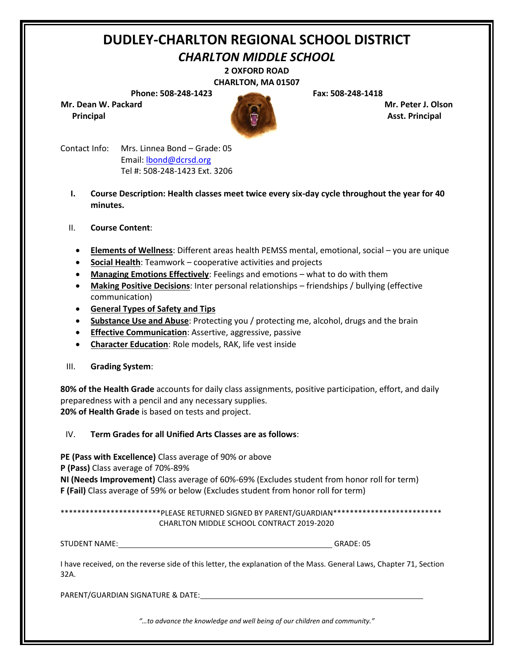### *CHARLTON MIDDLE SCHOOL*

**2 OXFORD ROAD CHARLTON, MA 01507**

**Phone: 508-248-1423 Fax: 508-248-1418**

**Mr. Dean W. Packard Mr. Peter J. Olson** 



**Principal Asst. Principal**

Contact Info: Mrs. Linnea Bond – Grade: 05 Email: [lbond@dcrsd.org](mailto:lbond@dcrsd.org) Tel #: 508-248-1423 Ext. 3206

- **I. Course Description: Health classes meet twice every six-day cycle throughout the year for 40 minutes.**
- II. **Course Content**:
	- **Elements of Wellness**: Different areas health PEMSS mental, emotional, social you are unique
	- **Social Health**: Teamwork cooperative activities and projects
	- **Managing Emotions Effectively**: Feelings and emotions what to do with them
	- **Making Positive Decisions**: Inter personal relationships friendships / bullying (effective communication)
	- **General Types of Safety and Tips**
	- **Substance Use and Abuse**: Protecting you / protecting me, alcohol, drugs and the brain
	- **Effective Communication**: Assertive, aggressive, passive
	- **Character Education**: Role models, RAK, life vest inside
- III. **Grading System**:

**80% of the Health Grade** accounts for daily class assignments, positive participation, effort, and daily preparedness with a pencil and any necessary supplies. **20% of Health Grade** is based on tests and project.

IV. **Term Grades for all Unified Arts Classes are as follows**:

**PE (Pass with Excellence)** Class average of 90% or above

**P (Pass)** Class average of 70%-89%

**NI (Needs Improvement)** Class average of 60%-69% (Excludes student from honor roll for term) **F (Fail)** Class average of 59% or below (Excludes student from honor roll for term)

\*\*\*\*\*\*\*\*\*\*\*\*\*\*\*\*\*\*\*\*\*\*\*PLEASE RETURNED SIGNED BY PARENT/GUARDIAN\*\*\*\*\*\*\*\*\*\*\*\*\*\*\*\*\*\*\*\*\*\*\*\*\*\* CHARLTON MIDDLE SCHOOL CONTRACT 2019-2020

STUDENT NAME: GRADE: 05

I have received, on the reverse side of this letter, the explanation of the Mass. General Laws, Chapter 71, Section 32A.

PARENT/GUARDIAN SIGNATURE & DATE: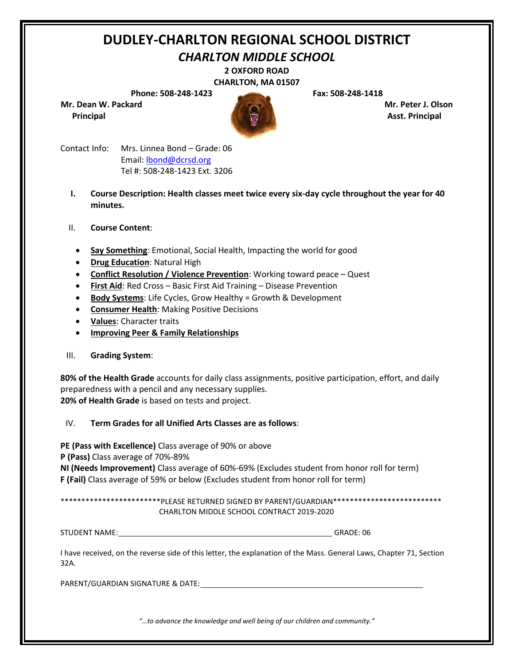### *CHARLTON MIDDLE SCHOOL*

**2 OXFORD ROAD**

**CHARLTON, MA 01507**

**Phone: 508-248-1423 Fax: 508-248-1418**

**Mr. Dean W. Packard Mr. Peter J. Olson** 



**Principal Asst. Principal**

Contact Info: Mrs. Linnea Bond – Grade: 06 Email: [lbond@dcrsd.org](mailto:lbond@dcrsd.org) Tel #: 508-248-1423 Ext. 3206

- **I. Course Description: Health classes meet twice every six-day cycle throughout the year for 40 minutes.**
- II. **Course Content**:
	- **Say Something**: Emotional, Social Health, Impacting the world for good
	- **Drug Education**: Natural High
	- **Conflict Resolution / Violence Prevention**: Working toward peace Quest
	- **First Aid**: Red Cross Basic First Aid Training Disease Prevention
	- **Body Systems**: Life Cycles, Grow Healthy = Growth & Development
	- **Consumer Health**: Making Positive Decisions
	- **Values**: Character traits
	- **Improving Peer & Family Relationships**

### III. **Grading System**:

**80% of the Health Grade** accounts for daily class assignments, positive participation, effort, and daily preparedness with a pencil and any necessary supplies. **20% of Health Grade** is based on tests and project.

### IV. **Term Grades for all Unified Arts Classes are as follows**:

**PE (Pass with Excellence)** Class average of 90% or above

**P (Pass)** Class average of 70%-89%

**NI (Needs Improvement)** Class average of 60%-69% (Excludes student from honor roll for term) **F (Fail)** Class average of 59% or below (Excludes student from honor roll for term)

\*\*\*\*\*\*\*\*\*\*\*\*\*\*\*\*\*\*\*\*\*\*\*\*PLEASE RETURNED SIGNED BY PARENT/GUARDIAN\*\*\*\*\*\*\*\*\*\*\*\*\*\*\*\*\*\*\*\*\*\*\*\*\*\* CHARLTON MIDDLE SCHOOL CONTRACT 2019-2020

 $GRADE: 06$ 

I have received, on the reverse side of this letter, the explanation of the Mass. General Laws, Chapter 71, Section 32A.

PARENT/GUARDIAN SIGNATURE & DATE: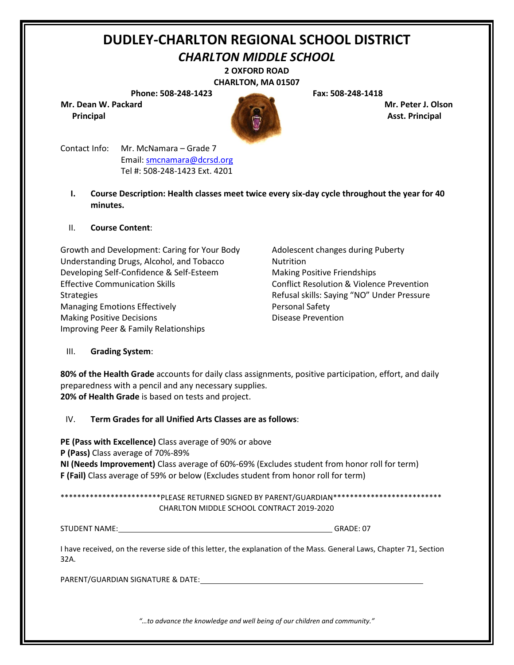*CHARLTON MIDDLE SCHOOL*

**2 OXFORD ROAD CHARLTON, MA 01507**

**Phone: 508-248-1423 Fax: 508-248-1418**

**Mr. Dean W. Packard Mr. Peter J. Olson** 



Contact Info: Mr. McNamara – Grade 7 Email: [smcnamara@dcrsd.org](mailto:smcnamara@dcrsd.org) Tel #: 508-248-1423 Ext. 4201

**I. Course Description: Health classes meet twice every six-day cycle throughout the year for 40 minutes.**

### II. **Course Content**:

Growth and Development: Caring for Your Body Adolescent changes during Puberty Understanding Drugs, Alcohol, and Tobacco Nutrition Developing Self-Confidence & Self-Esteem Making Positive Friendships Effective Communication Skills Conflict Resolution & Violence Prevention Strategies **Strategies** Refusal skills: Saying "NO" Under Pressure Managing Emotions Effectively **Personal Safety** Making Positive Decisions **Disease Prevention** Improving Peer & Family Relationships

### III. **Grading System**:

**80% of the Health Grade** accounts for daily class assignments, positive participation, effort, and daily preparedness with a pencil and any necessary supplies. **20% of Health Grade** is based on tests and project.

### IV. **Term Grades for all Unified Arts Classes are as follows**:

**PE (Pass with Excellence)** Class average of 90% or above **P (Pass)** Class average of 70%-89% **NI (Needs Improvement)** Class average of 60%-69% (Excludes student from honor roll for term) **F (Fail)** Class average of 59% or below (Excludes student from honor roll for term)

\*\*\*\*\*\*\*\*\*\*\*\*\*\*\*\*\*\*\*\*\*\*\*\*PLEASE RETURNED SIGNED BY PARENT/GUARDIAN\*\*\*\*\*\*\*\*\*\*\*\*\*\*\*\*\*\*\*\*\*\*\*\*\*\* CHARLTON MIDDLE SCHOOL CONTRACT 2019-2020

STUDENT NAME: GRADE: 07

I have received, on the reverse side of this letter, the explanation of the Mass. General Laws, Chapter 71, Section 32A.

PARENT/GUARDIAN SIGNATURE & DATE: